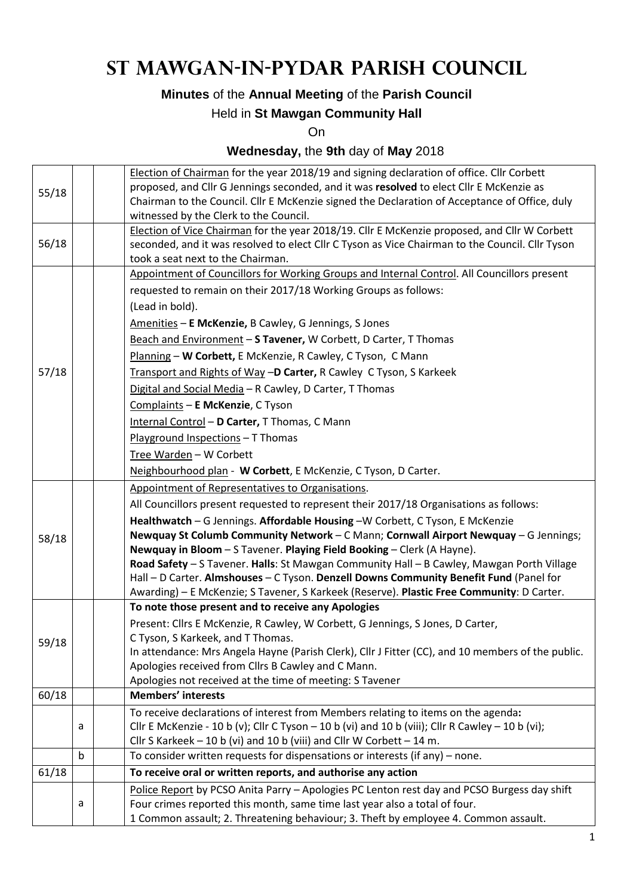# **St Mawgan-in-Pydar Parish Council**

### **Minutes** of the **Annual Meeting** of the **Parish Council**

#### Held in **St Mawgan Community Hall**

On

### **Wednesday,** the **9th** day of **May** 2018

|       |             | Election of Chairman for the year 2018/19 and signing declaration of office. Cllr Corbett                                                                 |
|-------|-------------|-----------------------------------------------------------------------------------------------------------------------------------------------------------|
| 55/18 |             | proposed, and Cllr G Jennings seconded, and it was resolved to elect Cllr E McKenzie as                                                                   |
|       |             | Chairman to the Council. Cllr E McKenzie signed the Declaration of Acceptance of Office, duly                                                             |
|       |             | witnessed by the Clerk to the Council.                                                                                                                    |
|       |             | Election of Vice Chairman for the year 2018/19. Cllr E McKenzie proposed, and Cllr W Corbett                                                              |
| 56/18 |             | seconded, and it was resolved to elect Cllr C Tyson as Vice Chairman to the Council. Cllr Tyson                                                           |
|       |             | took a seat next to the Chairman.                                                                                                                         |
|       |             | Appointment of Councillors for Working Groups and Internal Control. All Councillors present                                                               |
|       |             | requested to remain on their 2017/18 Working Groups as follows:                                                                                           |
|       |             | (Lead in bold).                                                                                                                                           |
|       |             | Amenities - E McKenzie, B Cawley, G Jennings, S Jones                                                                                                     |
|       |             | Beach and Environment - S Tavener, W Corbett, D Carter, T Thomas                                                                                          |
|       |             | Planning - W Corbett, E McKenzie, R Cawley, C Tyson, C Mann                                                                                               |
| 57/18 |             | Transport and Rights of Way -D Carter, R Cawley C Tyson, S Karkeek                                                                                        |
|       |             | Digital and Social Media - R Cawley, D Carter, T Thomas                                                                                                   |
|       |             | Complaints - E McKenzie, C Tyson                                                                                                                          |
|       |             | Internal Control - D Carter, T Thomas, C Mann                                                                                                             |
|       |             | Playground Inspections - T Thomas                                                                                                                         |
|       |             | Tree Warden - W Corbett                                                                                                                                   |
|       |             | Neighbourhood plan - W Corbett, E McKenzie, C Tyson, D Carter.                                                                                            |
|       |             | Appointment of Representatives to Organisations.                                                                                                          |
|       |             | All Councillors present requested to represent their 2017/18 Organisations as follows:                                                                    |
|       |             | Healthwatch - G Jennings. Affordable Housing -W Corbett, C Tyson, E McKenzie                                                                              |
| 58/18 |             | Newquay St Columb Community Network - C Mann; Cornwall Airport Newquay - G Jennings;                                                                      |
|       |             | Newquay in Bloom - S Tavener. Playing Field Booking - Clerk (A Hayne).                                                                                    |
|       |             | Road Safety - S Tavener. Halls: St Mawgan Community Hall - B Cawley, Mawgan Porth Village                                                                 |
|       |             | Hall - D Carter. Almshouses - C Tyson. Denzell Downs Community Benefit Fund (Panel for                                                                    |
|       |             | Awarding) - E McKenzie; S Tavener, S Karkeek (Reserve). Plastic Free Community: D Carter.                                                                 |
|       |             | To note those present and to receive any Apologies                                                                                                        |
|       |             | Present: Cllrs E McKenzie, R Cawley, W Corbett, G Jennings, S Jones, D Carter,                                                                            |
| 59/18 |             | C Tyson, S Karkeek, and T Thomas.                                                                                                                         |
|       |             | In attendance: Mrs Angela Hayne (Parish Clerk), Cllr J Fitter (CC), and 10 members of the public.                                                         |
|       |             | Apologies received from Cllrs B Cawley and C Mann.                                                                                                        |
|       |             | Apologies not received at the time of meeting: S Tavener                                                                                                  |
| 60/18 |             | <b>Members' interests</b>                                                                                                                                 |
|       |             | To receive declarations of interest from Members relating to items on the agenda:                                                                         |
|       | a           | Cllr E McKenzie - 10 b (v); Cllr C Tyson - 10 b (vi) and 10 b (viii); Cllr R Cawley - 10 b (vi);                                                          |
|       | $\mathsf b$ | Cllr S Karkeek $-10$ b (vi) and 10 b (viii) and Cllr W Corbett $-14$ m.<br>To consider written requests for dispensations or interests (if any) $-$ none. |
|       |             |                                                                                                                                                           |
| 61/18 |             | To receive oral or written reports, and authorise any action                                                                                              |
|       |             | Police Report by PCSO Anita Parry - Apologies PC Lenton rest day and PCSO Burgess day shift                                                               |
|       | a           | Four crimes reported this month, same time last year also a total of four.                                                                                |
|       |             | 1 Common assault; 2. Threatening behaviour; 3. Theft by employee 4. Common assault.                                                                       |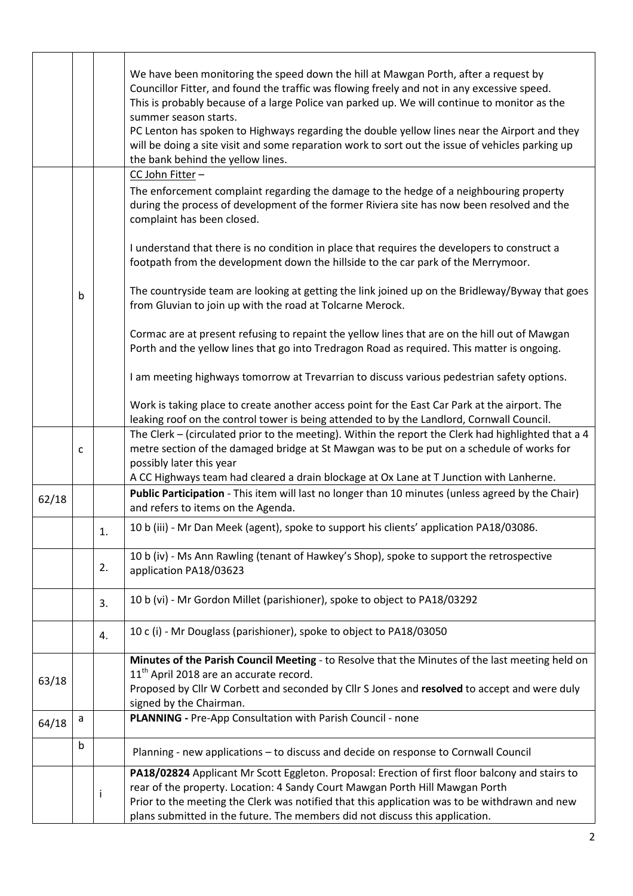|       |   |                                                                                                                                                                                                                              | We have been monitoring the speed down the hill at Mawgan Porth, after a request by<br>Councillor Fitter, and found the traffic was flowing freely and not in any excessive speed.<br>This is probably because of a large Police van parked up. We will continue to monitor as the<br>summer season starts.<br>PC Lenton has spoken to Highways regarding the double yellow lines near the Airport and they<br>will be doing a site visit and some reparation work to sort out the issue of vehicles parking up<br>the bank behind the yellow lines. |  |  |  |
|-------|---|------------------------------------------------------------------------------------------------------------------------------------------------------------------------------------------------------------------------------|------------------------------------------------------------------------------------------------------------------------------------------------------------------------------------------------------------------------------------------------------------------------------------------------------------------------------------------------------------------------------------------------------------------------------------------------------------------------------------------------------------------------------------------------------|--|--|--|
|       |   |                                                                                                                                                                                                                              | CC John Fitter -<br>The enforcement complaint regarding the damage to the hedge of a neighbouring property<br>during the process of development of the former Riviera site has now been resolved and the<br>complaint has been closed.                                                                                                                                                                                                                                                                                                               |  |  |  |
|       |   |                                                                                                                                                                                                                              | I understand that there is no condition in place that requires the developers to construct a<br>footpath from the development down the hillside to the car park of the Merrymoor.                                                                                                                                                                                                                                                                                                                                                                    |  |  |  |
| b     |   |                                                                                                                                                                                                                              | The countryside team are looking at getting the link joined up on the Bridleway/Byway that goes<br>from Gluvian to join up with the road at Tolcarne Merock.                                                                                                                                                                                                                                                                                                                                                                                         |  |  |  |
|       |   |                                                                                                                                                                                                                              | Cormac are at present refusing to repaint the yellow lines that are on the hill out of Mawgan<br>Porth and the yellow lines that go into Tredragon Road as required. This matter is ongoing.                                                                                                                                                                                                                                                                                                                                                         |  |  |  |
|       |   | I am meeting highways tomorrow at Trevarrian to discuss various pedestrian safety options.                                                                                                                                   |                                                                                                                                                                                                                                                                                                                                                                                                                                                                                                                                                      |  |  |  |
|       |   |                                                                                                                                                                                                                              | Work is taking place to create another access point for the East Car Park at the airport. The<br>leaking roof on the control tower is being attended to by the Landlord, Cornwall Council.                                                                                                                                                                                                                                                                                                                                                           |  |  |  |
|       | c | The Clerk – (circulated prior to the meeting). Within the report the Clerk had highlighted that a 4<br>metre section of the damaged bridge at St Mawgan was to be put on a schedule of works for<br>possibly later this year |                                                                                                                                                                                                                                                                                                                                                                                                                                                                                                                                                      |  |  |  |
|       |   |                                                                                                                                                                                                                              | A CC Highways team had cleared a drain blockage at Ox Lane at T Junction with Lanherne.                                                                                                                                                                                                                                                                                                                                                                                                                                                              |  |  |  |
| 62/18 |   |                                                                                                                                                                                                                              | Public Participation - This item will last no longer than 10 minutes (unless agreed by the Chair)<br>and refers to items on the Agenda.                                                                                                                                                                                                                                                                                                                                                                                                              |  |  |  |
|       |   | 1.                                                                                                                                                                                                                           | 10 b (iii) - Mr Dan Meek (agent), spoke to support his clients' application PA18/03086.                                                                                                                                                                                                                                                                                                                                                                                                                                                              |  |  |  |
|       |   | 2.                                                                                                                                                                                                                           | 10 b (iv) - Ms Ann Rawling (tenant of Hawkey's Shop), spoke to support the retrospective<br>application PA18/03623                                                                                                                                                                                                                                                                                                                                                                                                                                   |  |  |  |
|       |   | 3.                                                                                                                                                                                                                           | 10 b (vi) - Mr Gordon Millet (parishioner), spoke to object to PA18/03292                                                                                                                                                                                                                                                                                                                                                                                                                                                                            |  |  |  |
|       |   | 4.                                                                                                                                                                                                                           | 10 c (i) - Mr Douglass (parishioner), spoke to object to PA18/03050                                                                                                                                                                                                                                                                                                                                                                                                                                                                                  |  |  |  |
|       |   |                                                                                                                                                                                                                              | Minutes of the Parish Council Meeting - to Resolve that the Minutes of the last meeting held on                                                                                                                                                                                                                                                                                                                                                                                                                                                      |  |  |  |
| 63/18 |   |                                                                                                                                                                                                                              | 11 <sup>th</sup> April 2018 are an accurate record.                                                                                                                                                                                                                                                                                                                                                                                                                                                                                                  |  |  |  |
|       |   |                                                                                                                                                                                                                              | Proposed by Cllr W Corbett and seconded by Cllr S Jones and resolved to accept and were duly                                                                                                                                                                                                                                                                                                                                                                                                                                                         |  |  |  |
| 64/18 | a |                                                                                                                                                                                                                              | signed by the Chairman.<br>PLANNING - Pre-App Consultation with Parish Council - none                                                                                                                                                                                                                                                                                                                                                                                                                                                                |  |  |  |
|       |   |                                                                                                                                                                                                                              |                                                                                                                                                                                                                                                                                                                                                                                                                                                                                                                                                      |  |  |  |
|       | b |                                                                                                                                                                                                                              | Planning - new applications - to discuss and decide on response to Cornwall Council                                                                                                                                                                                                                                                                                                                                                                                                                                                                  |  |  |  |
|       |   | İ                                                                                                                                                                                                                            | PA18/02824 Applicant Mr Scott Eggleton. Proposal: Erection of first floor balcony and stairs to<br>rear of the property. Location: 4 Sandy Court Mawgan Porth Hill Mawgan Porth<br>Prior to the meeting the Clerk was notified that this application was to be withdrawn and new                                                                                                                                                                                                                                                                     |  |  |  |
|       |   |                                                                                                                                                                                                                              | plans submitted in the future. The members did not discuss this application.                                                                                                                                                                                                                                                                                                                                                                                                                                                                         |  |  |  |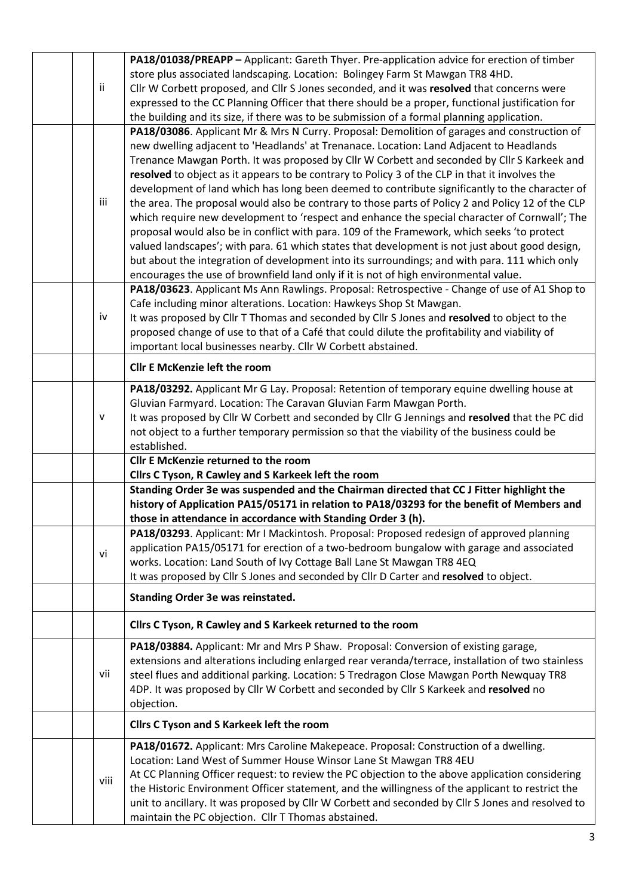|  |              | PA18/01038/PREAPP - Applicant: Gareth Thyer. Pre-application advice for erection of timber        |  |  |
|--|--------------|---------------------------------------------------------------------------------------------------|--|--|
|  |              | store plus associated landscaping. Location: Bolingey Farm St Mawgan TR8 4HD.                     |  |  |
|  | ii           | Cllr W Corbett proposed, and Cllr S Jones seconded, and it was resolved that concerns were        |  |  |
|  |              | expressed to the CC Planning Officer that there should be a proper, functional justification for  |  |  |
|  |              | the building and its size, if there was to be submission of a formal planning application.        |  |  |
|  |              | PA18/03086. Applicant Mr & Mrs N Curry. Proposal: Demolition of garages and construction of       |  |  |
|  |              | new dwelling adjacent to 'Headlands' at Trenanace. Location: Land Adjacent to Headlands           |  |  |
|  |              | Trenance Mawgan Porth. It was proposed by Cllr W Corbett and seconded by Cllr S Karkeek and       |  |  |
|  |              | resolved to object as it appears to be contrary to Policy 3 of the CLP in that it involves the    |  |  |
|  |              | development of land which has long been deemed to contribute significantly to the character of    |  |  |
|  | iii          |                                                                                                   |  |  |
|  |              | the area. The proposal would also be contrary to those parts of Policy 2 and Policy 12 of the CLP |  |  |
|  |              | which require new development to 'respect and enhance the special character of Cornwall'; The     |  |  |
|  |              | proposal would also be in conflict with para. 109 of the Framework, which seeks 'to protect       |  |  |
|  |              | valued landscapes'; with para. 61 which states that development is not just about good design,    |  |  |
|  |              | but about the integration of development into its surroundings; and with para. 111 which only     |  |  |
|  |              | encourages the use of brownfield land only if it is not of high environmental value.              |  |  |
|  |              | PA18/03623. Applicant Ms Ann Rawlings. Proposal: Retrospective - Change of use of A1 Shop to      |  |  |
|  |              | Cafe including minor alterations. Location: Hawkeys Shop St Mawgan.                               |  |  |
|  | iv           | It was proposed by Cllr T Thomas and seconded by Cllr S Jones and resolved to object to the       |  |  |
|  |              | proposed change of use to that of a Café that could dilute the profitability and viability of     |  |  |
|  |              | important local businesses nearby. Cllr W Corbett abstained.                                      |  |  |
|  |              | <b>Cllr E McKenzie left the room</b>                                                              |  |  |
|  |              | PA18/03292. Applicant Mr G Lay. Proposal: Retention of temporary equine dwelling house at         |  |  |
|  |              | Gluvian Farmyard. Location: The Caravan Gluvian Farm Mawgan Porth.                                |  |  |
|  | $\mathsf{V}$ | It was proposed by Cllr W Corbett and seconded by Cllr G Jennings and resolved that the PC did    |  |  |
|  |              | not object to a further temporary permission so that the viability of the business could be       |  |  |
|  |              | established.                                                                                      |  |  |
|  |              | Cllr E McKenzie returned to the room                                                              |  |  |
|  |              | Cllrs C Tyson, R Cawley and S Karkeek left the room                                               |  |  |
|  |              | Standing Order 3e was suspended and the Chairman directed that CC J Fitter highlight the          |  |  |
|  |              | history of Application PA15/05171 in relation to PA18/03293 for the benefit of Members and        |  |  |
|  |              | those in attendance in accordance with Standing Order 3 (h).                                      |  |  |
|  |              | PA18/03293. Applicant: Mr I Mackintosh. Proposal: Proposed redesign of approved planning          |  |  |
|  |              | application PA15/05171 for erection of a two-bedroom bungalow with garage and associated          |  |  |
|  | vi           | works. Location: Land South of Ivy Cottage Ball Lane St Mawgan TR8 4EQ                            |  |  |
|  |              | It was proposed by Cllr S Jones and seconded by Cllr D Carter and resolved to object.             |  |  |
|  |              |                                                                                                   |  |  |
|  |              | Standing Order 3e was reinstated.                                                                 |  |  |
|  |              | Cllrs C Tyson, R Cawley and S Karkeek returned to the room                                        |  |  |
|  |              | PA18/03884. Applicant: Mr and Mrs P Shaw. Proposal: Conversion of existing garage,                |  |  |
|  |              | extensions and alterations including enlarged rear veranda/terrace, installation of two stainless |  |  |
|  | vii          | steel flues and additional parking. Location: 5 Tredragon Close Mawgan Porth Newquay TR8          |  |  |
|  |              | 4DP. It was proposed by Cllr W Corbett and seconded by Cllr S Karkeek and resolved no             |  |  |
|  |              | objection.                                                                                        |  |  |
|  |              | <b>Cllrs C Tyson and S Karkeek left the room</b>                                                  |  |  |
|  |              | PA18/01672. Applicant: Mrs Caroline Makepeace. Proposal: Construction of a dwelling.              |  |  |
|  |              | Location: Land West of Summer House Winsor Lane St Mawgan TR8 4EU                                 |  |  |
|  |              | At CC Planning Officer request: to review the PC objection to the above application considering   |  |  |
|  | viii         | the Historic Environment Officer statement, and the willingness of the applicant to restrict the  |  |  |
|  |              | unit to ancillary. It was proposed by Cllr W Corbett and seconded by Cllr S Jones and resolved to |  |  |
|  |              | maintain the PC objection. Cllr T Thomas abstained.                                               |  |  |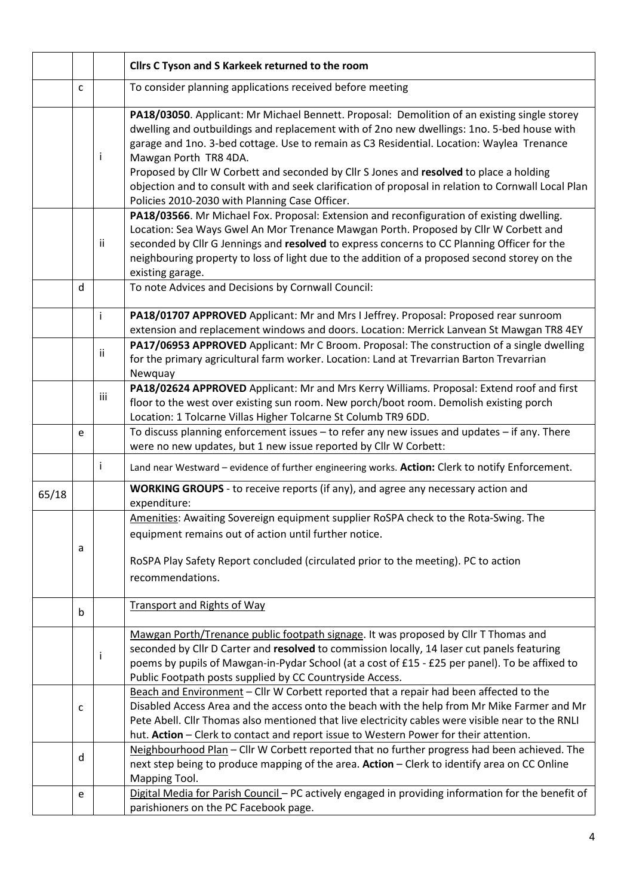|       |                                                                                          |                                                                                                                                                                                                                                                        | Cllrs C Tyson and S Karkeek returned to the room                                                                                                                                                                                                                                                                                                                                                                                                                                                                                                                     |  |  |  |
|-------|------------------------------------------------------------------------------------------|--------------------------------------------------------------------------------------------------------------------------------------------------------------------------------------------------------------------------------------------------------|----------------------------------------------------------------------------------------------------------------------------------------------------------------------------------------------------------------------------------------------------------------------------------------------------------------------------------------------------------------------------------------------------------------------------------------------------------------------------------------------------------------------------------------------------------------------|--|--|--|
|       | $\mathsf{C}$                                                                             |                                                                                                                                                                                                                                                        | To consider planning applications received before meeting                                                                                                                                                                                                                                                                                                                                                                                                                                                                                                            |  |  |  |
|       |                                                                                          | Ť                                                                                                                                                                                                                                                      | PA18/03050. Applicant: Mr Michael Bennett. Proposal: Demolition of an existing single storey<br>dwelling and outbuildings and replacement with of 2no new dwellings: 1no. 5-bed house with<br>garage and 1no. 3-bed cottage. Use to remain as C3 Residential. Location: Waylea Trenance<br>Mawgan Porth TR8 4DA.<br>Proposed by Cllr W Corbett and seconded by Cllr S Jones and resolved to place a holding<br>objection and to consult with and seek clarification of proposal in relation to Cornwall Local Plan<br>Policies 2010-2030 with Planning Case Officer. |  |  |  |
|       |                                                                                          | ii                                                                                                                                                                                                                                                     | PA18/03566. Mr Michael Fox. Proposal: Extension and reconfiguration of existing dwelling.<br>Location: Sea Ways Gwel An Mor Trenance Mawgan Porth. Proposed by Cllr W Corbett and<br>seconded by Cllr G Jennings and resolved to express concerns to CC Planning Officer for the<br>neighbouring property to loss of light due to the addition of a proposed second storey on the<br>existing garage.                                                                                                                                                                |  |  |  |
|       | d                                                                                        |                                                                                                                                                                                                                                                        | To note Advices and Decisions by Cornwall Council:                                                                                                                                                                                                                                                                                                                                                                                                                                                                                                                   |  |  |  |
|       |                                                                                          | İ                                                                                                                                                                                                                                                      | PA18/01707 APPROVED Applicant: Mr and Mrs I Jeffrey. Proposal: Proposed rear sunroom<br>extension and replacement windows and doors. Location: Merrick Lanvean St Mawgan TR8 4EY                                                                                                                                                                                                                                                                                                                                                                                     |  |  |  |
|       |                                                                                          | PA17/06953 APPROVED Applicant: Mr C Broom. Proposal: The construction of a single dwelling<br>ii<br>for the primary agricultural farm worker. Location: Land at Trevarrian Barton Trevarrian<br>Newquay                                                |                                                                                                                                                                                                                                                                                                                                                                                                                                                                                                                                                                      |  |  |  |
|       |                                                                                          | iii                                                                                                                                                                                                                                                    | PA18/02624 APPROVED Applicant: Mr and Mrs Kerry Williams. Proposal: Extend roof and first<br>floor to the west over existing sun room. New porch/boot room. Demolish existing porch<br>Location: 1 Tolcarne Villas Higher Tolcarne St Columb TR9 6DD.                                                                                                                                                                                                                                                                                                                |  |  |  |
|       | e                                                                                        |                                                                                                                                                                                                                                                        | To discuss planning enforcement issues $-$ to refer any new issues and updates $-$ if any. There<br>were no new updates, but 1 new issue reported by Cllr W Corbett:                                                                                                                                                                                                                                                                                                                                                                                                 |  |  |  |
|       |                                                                                          | İ                                                                                                                                                                                                                                                      | Land near Westward - evidence of further engineering works. Action: Clerk to notify Enforcement.                                                                                                                                                                                                                                                                                                                                                                                                                                                                     |  |  |  |
| 65/18 |                                                                                          |                                                                                                                                                                                                                                                        | WORKING GROUPS - to receive reports (if any), and agree any necessary action and<br>expenditure:                                                                                                                                                                                                                                                                                                                                                                                                                                                                     |  |  |  |
|       | a                                                                                        | Amenities: Awaiting Sovereign equipment supplier RoSPA check to the Rota-Swing. The<br>equipment remains out of action until further notice.<br>RoSPA Play Safety Report concluded (circulated prior to the meeting). PC to action<br>recommendations. |                                                                                                                                                                                                                                                                                                                                                                                                                                                                                                                                                                      |  |  |  |
|       | Transport and Rights of Way<br>b                                                         |                                                                                                                                                                                                                                                        |                                                                                                                                                                                                                                                                                                                                                                                                                                                                                                                                                                      |  |  |  |
|       | Mawgan Porth/Trenance public footpath signage. It was proposed by Cllr T Thomas and<br>İ |                                                                                                                                                                                                                                                        | seconded by Cllr D Carter and resolved to commission locally, 14 laser cut panels featuring<br>poems by pupils of Mawgan-in-Pydar School (at a cost of £15 - £25 per panel). To be affixed to<br>Public Footpath posts supplied by CC Countryside Access.                                                                                                                                                                                                                                                                                                            |  |  |  |
|       | с                                                                                        |                                                                                                                                                                                                                                                        | Beach and Environment - Cllr W Corbett reported that a repair had been affected to the<br>Disabled Access Area and the access onto the beach with the help from Mr Mike Farmer and Mr<br>Pete Abell. Cllr Thomas also mentioned that live electricity cables were visible near to the RNLI<br>hut. Action - Clerk to contact and report issue to Western Power for their attention.                                                                                                                                                                                  |  |  |  |
|       | d                                                                                        |                                                                                                                                                                                                                                                        | Neighbourhood Plan - Cllr W Corbett reported that no further progress had been achieved. The<br>next step being to produce mapping of the area. Action - Clerk to identify area on CC Online<br>Mapping Tool.                                                                                                                                                                                                                                                                                                                                                        |  |  |  |
|       | e                                                                                        |                                                                                                                                                                                                                                                        | Digital Media for Parish Council - PC actively engaged in providing information for the benefit of<br>parishioners on the PC Facebook page.                                                                                                                                                                                                                                                                                                                                                                                                                          |  |  |  |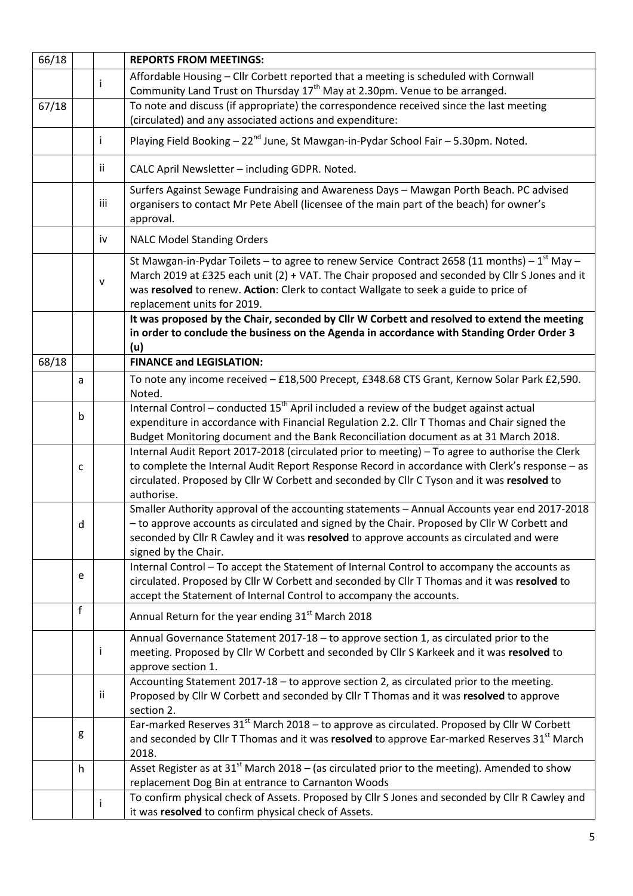| 66/18                                   |                                 | <b>REPORTS FROM MEETINGS:</b>                                                                       |                                                                                                                                                                                                                                                                                                                            |  |  |  |
|-----------------------------------------|---------------------------------|-----------------------------------------------------------------------------------------------------|----------------------------------------------------------------------------------------------------------------------------------------------------------------------------------------------------------------------------------------------------------------------------------------------------------------------------|--|--|--|
|                                         |                                 | i                                                                                                   | Affordable Housing - Cllr Corbett reported that a meeting is scheduled with Cornwall                                                                                                                                                                                                                                       |  |  |  |
|                                         |                                 |                                                                                                     | Community Land Trust on Thursday 17 <sup>th</sup> May at 2.30pm. Venue to be arranged.                                                                                                                                                                                                                                     |  |  |  |
| 67/18                                   |                                 | To note and discuss (if appropriate) the correspondence received since the last meeting             |                                                                                                                                                                                                                                                                                                                            |  |  |  |
|                                         |                                 |                                                                                                     | (circulated) and any associated actions and expenditure:                                                                                                                                                                                                                                                                   |  |  |  |
|                                         |                                 | Playing Field Booking - 22 <sup>nd</sup> June, St Mawgan-in-Pydar School Fair - 5.30pm. Noted.<br>i |                                                                                                                                                                                                                                                                                                                            |  |  |  |
| Ϊİ                                      |                                 |                                                                                                     | CALC April Newsletter - including GDPR. Noted.                                                                                                                                                                                                                                                                             |  |  |  |
| iii<br>approval.                        |                                 |                                                                                                     | Surfers Against Sewage Fundraising and Awareness Days - Mawgan Porth Beach. PC advised<br>organisers to contact Mr Pete Abell (licensee of the main part of the beach) for owner's                                                                                                                                         |  |  |  |
| iv<br><b>NALC Model Standing Orders</b> |                                 |                                                                                                     |                                                                                                                                                                                                                                                                                                                            |  |  |  |
|                                         |                                 | v                                                                                                   | St Mawgan-in-Pydar Toilets - to agree to renew Service Contract 2658 (11 months) - $1^{st}$ May -<br>March 2019 at £325 each unit (2) + VAT. The Chair proposed and seconded by Cllr S Jones and it<br>was resolved to renew. Action: Clerk to contact Wallgate to seek a guide to price of<br>replacement units for 2019. |  |  |  |
|                                         |                                 |                                                                                                     | It was proposed by the Chair, seconded by Cllr W Corbett and resolved to extend the meeting<br>in order to conclude the business on the Agenda in accordance with Standing Order Order 3<br>(u)                                                                                                                            |  |  |  |
| 68/18                                   | <b>FINANCE and LEGISLATION:</b> |                                                                                                     |                                                                                                                                                                                                                                                                                                                            |  |  |  |
|                                         | a                               |                                                                                                     | To note any income received - £18,500 Precept, £348.68 CTS Grant, Kernow Solar Park £2,590.<br>Noted.                                                                                                                                                                                                                      |  |  |  |
|                                         | b                               |                                                                                                     | Internal Control - conducted 15 <sup>th</sup> April included a review of the budget against actual<br>expenditure in accordance with Financial Regulation 2.2. Cllr T Thomas and Chair signed the<br>Budget Monitoring document and the Bank Reconciliation document as at 31 March 2018.                                  |  |  |  |
| C                                       |                                 |                                                                                                     | Internal Audit Report 2017-2018 (circulated prior to meeting) - To agree to authorise the Clerk<br>to complete the Internal Audit Report Response Record in accordance with Clerk's response - as<br>circulated. Proposed by Cllr W Corbett and seconded by Cllr C Tyson and it was resolved to<br>authorise.              |  |  |  |
| d                                       |                                 |                                                                                                     | Smaller Authority approval of the accounting statements - Annual Accounts year end 2017-2018<br>- to approve accounts as circulated and signed by the Chair. Proposed by Cllr W Corbett and<br>seconded by Cllr R Cawley and it was resolved to approve accounts as circulated and were<br>signed by the Chair.            |  |  |  |
|                                         | e                               |                                                                                                     | Internal Control - To accept the Statement of Internal Control to accompany the accounts as<br>circulated. Proposed by Cllr W Corbett and seconded by Cllr T Thomas and it was resolved to<br>accept the Statement of Internal Control to accompany the accounts.                                                          |  |  |  |
|                                         | f                               |                                                                                                     | Annual Return for the year ending 31 <sup>st</sup> March 2018                                                                                                                                                                                                                                                              |  |  |  |
|                                         |                                 | İ                                                                                                   | Annual Governance Statement 2017-18 - to approve section 1, as circulated prior to the<br>meeting. Proposed by Cllr W Corbett and seconded by Cllr S Karkeek and it was resolved to<br>approve section 1.                                                                                                                  |  |  |  |
|                                         |                                 | ii                                                                                                  | Accounting Statement 2017-18 - to approve section 2, as circulated prior to the meeting.<br>Proposed by Cllr W Corbett and seconded by Cllr T Thomas and it was resolved to approve<br>section 2.                                                                                                                          |  |  |  |
|                                         | g                               |                                                                                                     | Ear-marked Reserves 31 <sup>st</sup> March 2018 - to approve as circulated. Proposed by Cllr W Corbett<br>and seconded by Cllr T Thomas and it was resolved to approve Ear-marked Reserves 31 <sup>st</sup> March<br>2018.                                                                                                 |  |  |  |
|                                         | h                               |                                                                                                     | Asset Register as at $31^{st}$ March 2018 – (as circulated prior to the meeting). Amended to show<br>replacement Dog Bin at entrance to Carnanton Woods                                                                                                                                                                    |  |  |  |
|                                         |                                 |                                                                                                     | To confirm physical check of Assets. Proposed by ClIr S Jones and seconded by ClIr R Cawley and                                                                                                                                                                                                                            |  |  |  |
|                                         |                                 | i                                                                                                   | it was resolved to confirm physical check of Assets.                                                                                                                                                                                                                                                                       |  |  |  |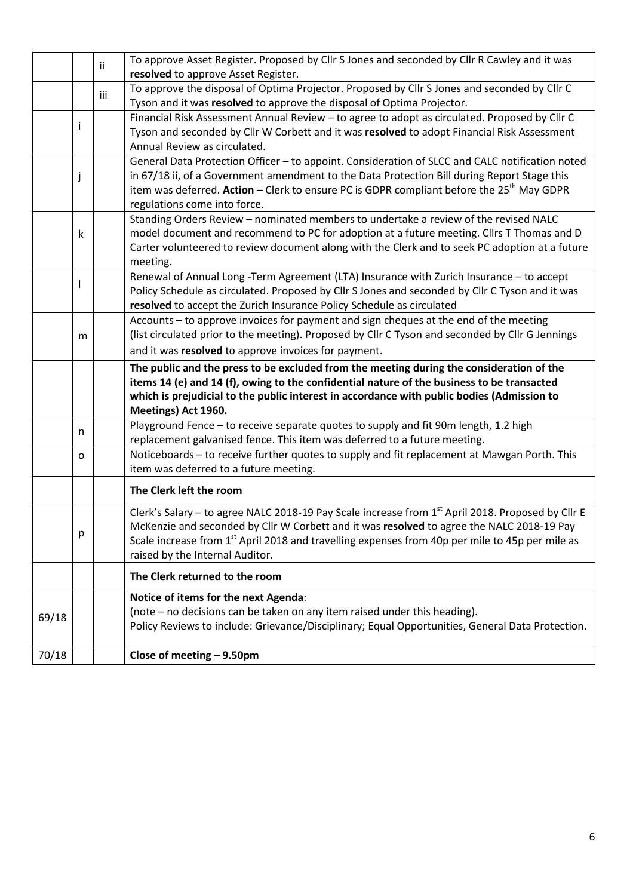|       | To approve Asset Register. Proposed by Cllr S Jones and seconded by Cllr R Cawley and it was<br>ii |  |                                                                                                             |
|-------|----------------------------------------------------------------------------------------------------|--|-------------------------------------------------------------------------------------------------------------|
|       |                                                                                                    |  | resolved to approve Asset Register.                                                                         |
| iii   |                                                                                                    |  | To approve the disposal of Optima Projector. Proposed by Cllr S Jones and seconded by Cllr C                |
|       |                                                                                                    |  | Tyson and it was resolved to approve the disposal of Optima Projector.                                      |
|       |                                                                                                    |  | Financial Risk Assessment Annual Review - to agree to adopt as circulated. Proposed by Cllr C               |
|       | T                                                                                                  |  | Tyson and seconded by Cllr W Corbett and it was resolved to adopt Financial Risk Assessment                 |
|       |                                                                                                    |  | Annual Review as circulated.                                                                                |
|       |                                                                                                    |  | General Data Protection Officer - to appoint. Consideration of SLCC and CALC notification noted             |
|       | j                                                                                                  |  | in 67/18 ii, of a Government amendment to the Data Protection Bill during Report Stage this                 |
|       |                                                                                                    |  | item was deferred. Action - Clerk to ensure PC is GDPR compliant before the 25 <sup>th</sup> May GDPR       |
|       |                                                                                                    |  | regulations come into force.                                                                                |
|       |                                                                                                    |  | Standing Orders Review - nominated members to undertake a review of the revised NALC                        |
|       | k                                                                                                  |  | model document and recommend to PC for adoption at a future meeting. Cllrs T Thomas and D                   |
|       |                                                                                                    |  | Carter volunteered to review document along with the Clerk and to seek PC adoption at a future              |
|       |                                                                                                    |  | meeting.                                                                                                    |
|       |                                                                                                    |  | Renewal of Annual Long -Term Agreement (LTA) Insurance with Zurich Insurance - to accept                    |
|       |                                                                                                    |  | Policy Schedule as circulated. Proposed by Cllr S Jones and seconded by Cllr C Tyson and it was             |
|       |                                                                                                    |  | resolved to accept the Zurich Insurance Policy Schedule as circulated                                       |
|       |                                                                                                    |  | Accounts – to approve invoices for payment and sign cheques at the end of the meeting                       |
|       | m                                                                                                  |  | (list circulated prior to the meeting). Proposed by Cllr C Tyson and seconded by Cllr G Jennings            |
|       |                                                                                                    |  | and it was resolved to approve invoices for payment.                                                        |
|       |                                                                                                    |  |                                                                                                             |
|       |                                                                                                    |  | The public and the press to be excluded from the meeting during the consideration of the                    |
|       |                                                                                                    |  | items 14 (e) and 14 (f), owing to the confidential nature of the business to be transacted                  |
|       |                                                                                                    |  | which is prejudicial to the public interest in accordance with public bodies (Admission to                  |
|       |                                                                                                    |  |                                                                                                             |
|       |                                                                                                    |  | Meetings) Act 1960.                                                                                         |
|       | n                                                                                                  |  | Playground Fence - to receive separate quotes to supply and fit 90m length, 1.2 high                        |
|       |                                                                                                    |  | replacement galvanised fence. This item was deferred to a future meeting.                                   |
|       | O                                                                                                  |  | Noticeboards - to receive further quotes to supply and fit replacement at Mawgan Porth. This                |
|       |                                                                                                    |  | item was deferred to a future meeting.                                                                      |
|       |                                                                                                    |  | The Clerk left the room                                                                                     |
|       |                                                                                                    |  | Clerk's Salary - to agree NALC 2018-19 Pay Scale increase from 1st April 2018. Proposed by Cllr E           |
|       |                                                                                                    |  | McKenzie and seconded by Cllr W Corbett and it was resolved to agree the NALC 2018-19 Pay                   |
|       | р                                                                                                  |  | Scale increase from 1 <sup>st</sup> April 2018 and travelling expenses from 40p per mile to 45p per mile as |
|       |                                                                                                    |  | raised by the Internal Auditor.                                                                             |
|       |                                                                                                    |  | The Clerk returned to the room                                                                              |
|       |                                                                                                    |  |                                                                                                             |
|       |                                                                                                    |  | Notice of items for the next Agenda:                                                                        |
| 69/18 |                                                                                                    |  | (note - no decisions can be taken on any item raised under this heading).                                   |
|       |                                                                                                    |  | Policy Reviews to include: Grievance/Disciplinary; Equal Opportunities, General Data Protection.            |